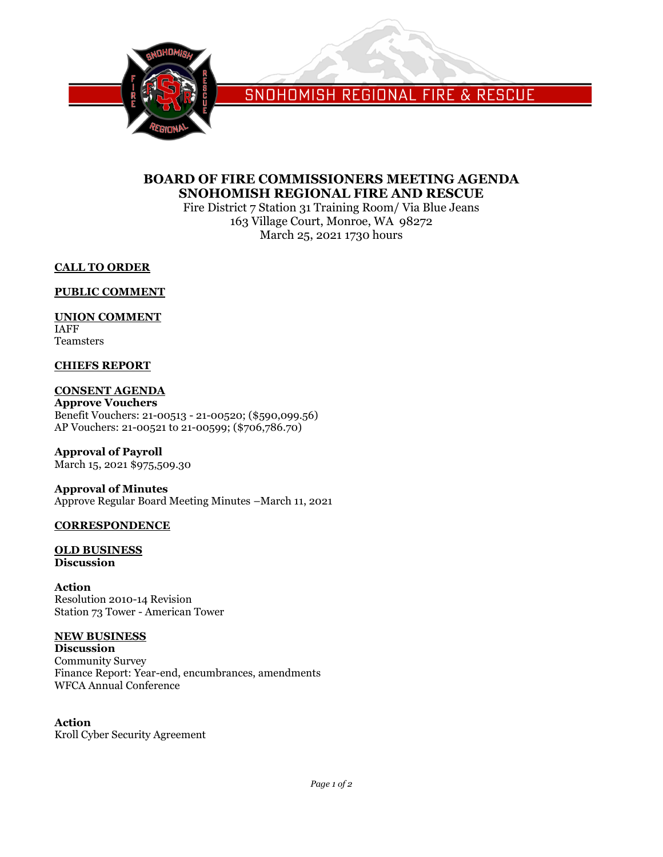

SNOHOMISH REGIONAL FIRE & RESCUE

# **BOARD OF FIRE COMMISSIONERS MEETING AGENDA SNOHOMISH REGIONAL FIRE AND RESCUE**

Fire District 7 Station 31 Training Room/ Via Blue Jeans 163 Village Court, Monroe, WA 98272 March 25, 2021 1730 hours

**CALL TO ORDER**

**PUBLIC COMMENT**

# **UNION COMMENT**

IAFF Teamsters

# **CHIEFS REPORT**

# **CONSENT AGENDA**

**Approve Vouchers** Benefit Vouchers: 21-00513 - 21-00520; (\$590,099.56) AP Vouchers: 21-00521 to 21-00599; (\$706,786.70)

**Approval of Payroll** March 15, 2021 \$975,509.30

**Approval of Minutes** Approve Regular Board Meeting Minutes –March 11, 2021

# **CORRESPONDENCE**

## **OLD BUSINESS Discussion**

**Action** Resolution 2010-14 Revision Station 73 Tower - American Tower

# **NEW BUSINESS**

**Discussion** Community Survey Finance Report: Year-end, encumbrances, amendments WFCA Annual Conference

# **Action**

Kroll Cyber Security Agreement